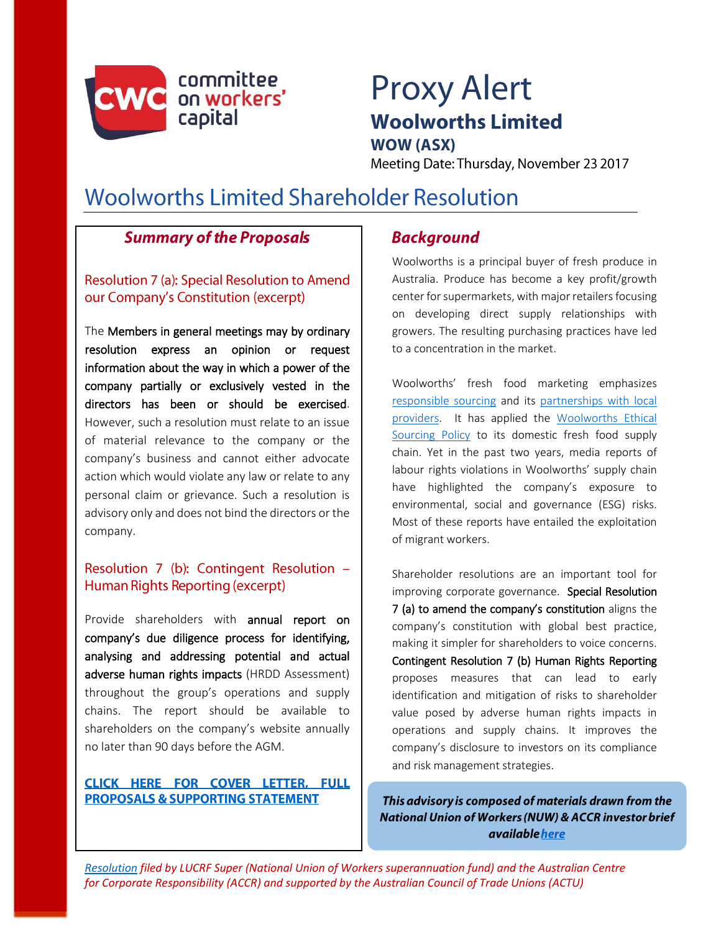

# **Proxy Alert Woolworths Limited**

**WOW (ASX)** 

Meeting Date: Thursday, November 23 2017

# **Woolworths Limited Shareholder Resolution**

# **Summary of the Proposals**

Resolution 7 (a): Special Resolution to Amend our Company's Constitution (excerpt)

The Members in general meetings may by ordinary resolution express an opinion or request information about the way in which a power of the company partially or exclusively vested in the directors has been or should be exercised. However, such a resolution must relate to an issue of material relevance to the company or the company's business and cannot either advocate action which would violate any law or relate to any personal claim or grievance. Such a resolution is advisory only and does not bind the directors or the company.

# Resolution 7 (b): Contingent Resolution -Human Rights Reporting (excerpt)

Provide shareholders with annual report on company's due diligence process for identifying, analysing and addressing potential and actual adverse human rights impacts (HRDD Assessment) throughout the group's operations and supply chains. The report should be available to shareholders on the company's website annually no later than 90 days before the AGM.

#### CLICK HERE FOR COVER LETTER, FULL **PROPOSALS & SUPPORTING STATEMENT**

# **Background**

Woolworths is a principal buyer of fresh produce in Australia. Produce has become a key profit/growth center for supermarkets, with major retailers focusing on developing direct supply relationships with growers. The resulting purchasing practices have led to a concentration in the market.

Woolworths' fresh food marketing emphasizes [responsible sourcing](https://www.woolworthsgroup.com.au/page/community-and-responsibility/group-responsibility/responsibile-sourcing/) and its [partnerships with local](https://www.woolworthsgroup.com.au/page/community-and-responsibility/partners/australias-fresh-food-farmers)  [providers.](https://www.woolworthsgroup.com.au/page/community-and-responsibility/partners/australias-fresh-food-farmers) It has applied the [Woolworths Ethical](http://www.wowlink.com.au/wps/portal/!ut/p/c1/04_SB8K8xLLM9MSSzPy8xBz9CP0os3izQB8jJydDRwN_SzNjAyMn30BPFxMgy9lMPxykwyzez98o1M3E09DQwszV0MDIzMPEySfM08DdxRgib4ADOBro-3nk56bqF2Rnpzk6KioCABjBZtw!/dl2/d1/L2dJQSEvUUt3QS9ZQnB3LzZfNlFMMkJCMUEwMDBDMzAyUk9WQVZVUzMwRzU!/?WCM_GLOBAL_CONTEXT=/cmgt/wcm/connect/Content%20Library%20-%20WOWLink/WOWLink/Topic%20Centre/DoingBusiness/VendorGuide/EthicalSourcing)  [Sourcing Policy](http://www.wowlink.com.au/wps/portal/!ut/p/c1/04_SB8K8xLLM9MSSzPy8xBz9CP0os3izQB8jJydDRwN_SzNjAyMn30BPFxMgy9lMPxykwyzez98o1M3E09DQwszV0MDIzMPEySfM08DdxRgib4ADOBro-3nk56bqF2Rnpzk6KioCABjBZtw!/dl2/d1/L2dJQSEvUUt3QS9ZQnB3LzZfNlFMMkJCMUEwMDBDMzAyUk9WQVZVUzMwRzU!/?WCM_GLOBAL_CONTEXT=/cmgt/wcm/connect/Content%20Library%20-%20WOWLink/WOWLink/Topic%20Centre/DoingBusiness/VendorGuide/EthicalSourcing) to its domestic fresh food supply chain. Yet in the past two years, media reports of labour rights violations in Woolworths' supply chain have highlighted the company's exposure to environmental, social and governance (ESG) risks. Most of these reports have entailed the exploitation of migrant workers.

Shareholder resolutions are an important tool for improving corporate governance. Special Resolution 7 (a) to amend the company's constitution aligns the company's constitution with global best practice, making it simpler for shareholders to voice concerns. Contingent Resolution 7 (b) Human Rights Reporting proposes measures that can lead to early identification and mitigation of risks to shareholder value posed by adverse human rights impacts in operations and supply chains. It improves the company's disclosure to investors on its compliance and risk management strategies.

This advisory is composed of materials drawn from the **National Union of Workers (NUW) & ACCR investor brief** available here

*[Resolution](https://gallery.mailchimp.com/f3af16dbd4ad167a5671ee135/files/d18960a1-3755-4485-adc9-572a553215af/Woolworths_Shareholder_Resolution_and_cover_letter_2017_REVISED.pdf) filed by LUCRF Super (National Union of Workers superannuation fund) and the Australian Centre for Corporate Responsibility (ACCR) and supported by the Australian Council of Trade Unions (ACTU)*